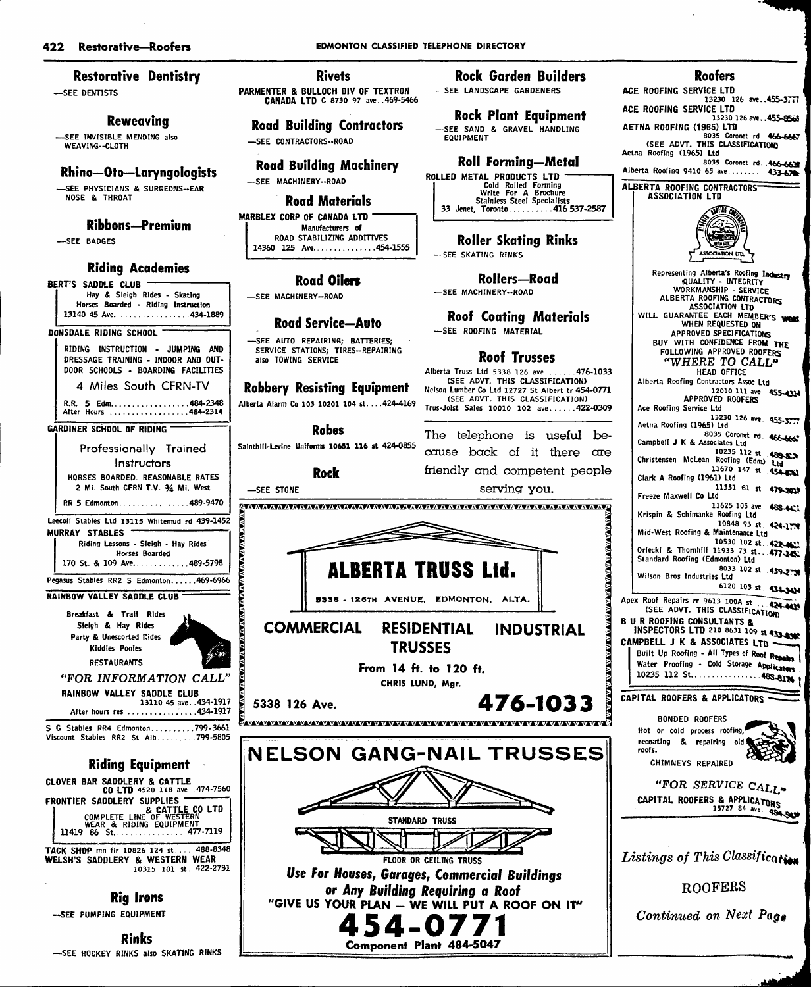## Restorative Dentistry

—SEE DENTISTS

## Reweoving

—SEE INVISIBLE MENDING also WEAVING--CLOTH

## Rhino—Oto—Laryngologists

—SEE PHYSICIANS & SURGEONS-EAR NOSE & THROAT

#### Ribbons—Premium

—SEE BADGES

#### Riding Academies

BERT'S SADDLE CLUB Hay & Sleigh Rides - Skating Horses Boarded - Riding Instruction 13140 45 Ave. ................434-1889

#### DONSDALE RIDING SCHOOL

RIDING INSTRUCTION • JUMPING AND DRESSAGE TRAINING - INDOOR AND OUT DOOR SCHOOLS - BOARDING FACILITIES 4 Miles South CFRN-TV

R.R. 5 Edm.....................484-2348 After Hours ......................484-2314

### GARDINER SCHOOL OF RIDING

Professionally Trained Instructors HORSES BOARDED. REASONABLE RATES 2 Mi. South CFRN T.V. 34 Mi. West RR 5 Edmonton ................489-9470

Leecoll Stables Ltd 13115 Whitemud rd 439-1452 MURRAY STABLES

Riding Lessons - Sleigh - Hay Rides Horses Boarded 170 St. & 109 Ave................489-5798 Pegasus Stables RR2 S Edmonton......469-6966

RAINBOW VALLEY SADDLE CLUB



"FOR INFORMATION CALL' RAINBOW VALLEY SADDLE CLUB 13110 45 ave. .434-1917

After hours res '... .434-1917

S G Stables RR4 Edmonton.........799-3661 Viscount Stables RR2 St Alb........799-5805

# Riding Equipment

COMPLETE LINE OF WESTERN<br>COMPLETE LINE OF WESTERN<br>11419 86 St. 477-7119 CLOVER BAR SADDLERY & CATTLE CO LTD 4520 118 ave 474-7560 FRONTIER SADDLERY SUPPLIES

TACK SHOP mn fir 10826 124 st ... 488-8348 WELSH'S SADDLERY & WESTERN WEAR 10315 101 St.. 422-2731

# Rig Irons

-SEE PUMPING EQUIPMENT

Rinks -SEE HOCKEY RINKS also SKATING RINKS

#### 422 Restorative-Roofers **EDIMONTON CLASSIFIED TELEPHONE DIRECTORY**

Rivets PARMENTER & BULLOCH DIV OF TEXTRON CANADA LTD c 8730 97 ave. .469-5466

Road Building Contractors —SEE CONTRACTORS-ROAD

Road Building Machinery —SEE MACHINERY-ROAD

# Road Materials

MARBLEX CORP OF CANADA LTD Manufacturers of ROAD STABILIZING ADDITIVES 14360 125 Ave...............454-1555

# Road Oilon

—SEE MACHINERY-ROAD

## Road Service—Auto

—SEE AUTO REPAIRING; BATTERIES; SERVICE STATIONS; TIRES--REPAIRING also TOWING SERVICE

## Robbery Resisting Equipment

Alberta Alarm Co 103 10201 104 st....424-4169

Robes

Sainthill-Levlne Unifonns 10651 116 st 424-0855

### Rock —SEE STONE

Rock Garden Builders —SEE LANDSCAPE GARDENERS

Rock Plant Equipment —SEE SAND & GRAVEL HANDLING EQUIPMENT

# Roll Forming—Metal

ROLLED METAL PRODUCTS LTD<br>Cold Rolled Forming<br>Write For A Brochure<br>Stainless Steel Specialists<br>33 Jenet, Toronto 416 537-2587

Roller Skating Rinks —SEE SKATING RINKS

Rollers—Road —SEE MACHINERY-ROAD

Roof Coating Materials

—SEE ROOFING MATERIAL

# Roof Trusses

Alberta Truss Ltd 5338 126 ave ...... 476-1033 (SEE ADVT. THIS CLASSIFICATION) Nelson Lumber Co Ltd 12727 St Albert tr 454-0771 (SEE ADVT. THIS CLASSIFICATION) Trus-Joist Sales 10010 102 ave ..... 422-0309

The telephone is useful becxruse back of it there ore friendly and competent people







## Roofers

ACE ROOFING SERVICE LTD 13230 126 ave..455-3777 ACE ROOFING SERVICE LTD<br>13230 126 ave., 455-8568 13230 126 ave..455-8568<br>AETNA ROOFING (1965) LTD<br>8035 Coronet rd 466-6667 (SEE ADVT. THIS CLASSlFlCATIOtO Aetna Roofing (1965) Ltd 8035 Coronet rd. . 466-6631

Alberta Roofing 9410 65 ave ....... 433-678

Alberta Roofing 9410 65 ave........ 433-67<br>ALBERTA ROOFING CONTRACTORS<br>| ASSOCIATION LTD



Representing Alberta's Roofing Ladestry WORKMANSHIP - SERVICE<br>ALBERTA ROOFING CONTRACTORS<br>ASSOCIATION LTD WILL GUARANTEE EACH MEMBER'S WO APPROVED SPECIFICATIONS BUY WITH CONFIDENCE FROM THE FOLLOWING APPROVED ROOFERS "WHERE TO CALL" HEAD OFFICE Alberta Roofing Contractors Assoc Ltd 12010 111 ave APPROVED ROOFERS Ace Roofing Service Ltd 13230 126 ave Aetna Roofing (1965) Ltd 8035 Coronet rd Campbell J K & Associates Ltd 10235 112 st<br>Christensen McLean Roofing (Edm) Ltd<br>11670 147 11670 147 st 454-6561 Clark A Roofing (1961) Ltd 11331 61 st 479-2018 Freeze Maxwell Co Ltd 11625 105 ave Krispin & Schimanke Roofing Ltd  $1084893$  st Mid-West Roofing & Maintenance Ltd 10530 102 st. 422-411 Oriecki & Thomhill 11933 73 st...477-345; Standard Roofing (Edmonton) Ltd 8033 102 st 439-27 Wilson Bros Industries Ltd 6120 103 st 455-4Sy 4SS-4C1 424-1771 Apex Roof Repairs rr 9613 lOOA st -a. (SEE ADVT. THIS CUSSIFlCATl^ B U R ROOFING CONSULTANTS &<br>INSPECTORS LTD 210 8631 109 st 43a.e\*\* CAMPBELL J K & ASSOCIATES LTD Built Up Roofing - All Types of Roof Repairs Water Proofing - Cold Storage Applicaters  $10235$  112 St.  $\cdots$   $483-81$ CAPITAL ROOFERS & APPLICATORS BONDED ROOFERS Hot or cold process roofing, recoating & repairing old roofs. CHIMNEYS REPAIRED "FOR SERVICE CALL" CAPITAL ROOFERS & APPLICATORS 15727 84 ave

Listings of This Classification

ROOFERS

Continued on Next Page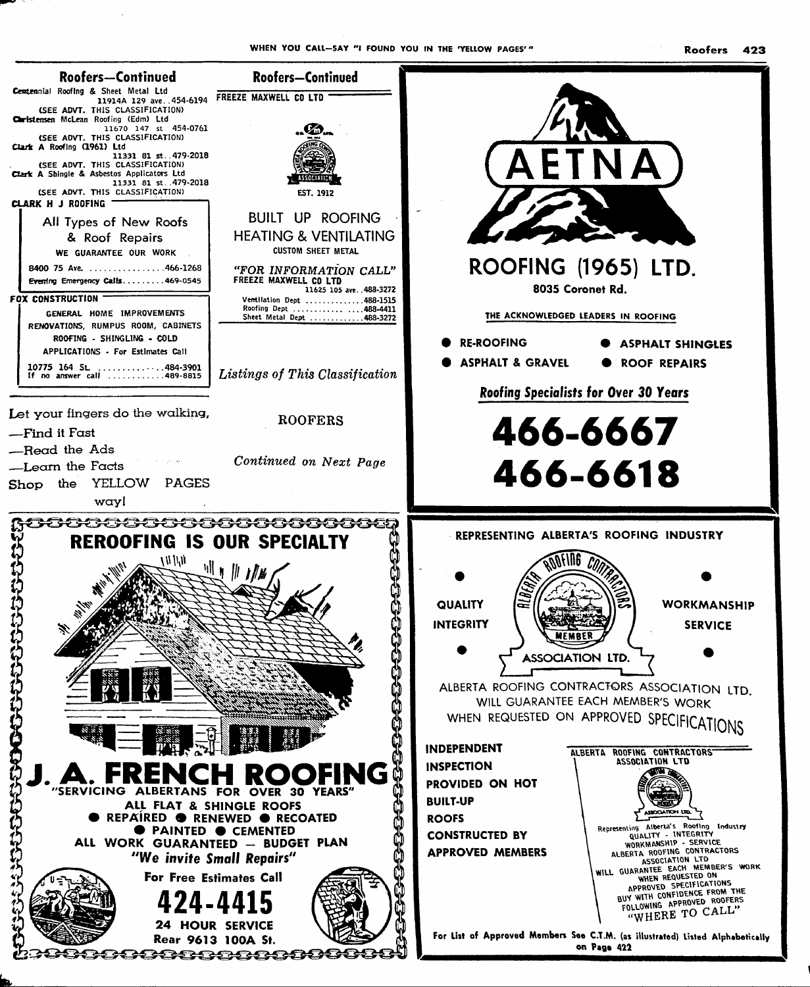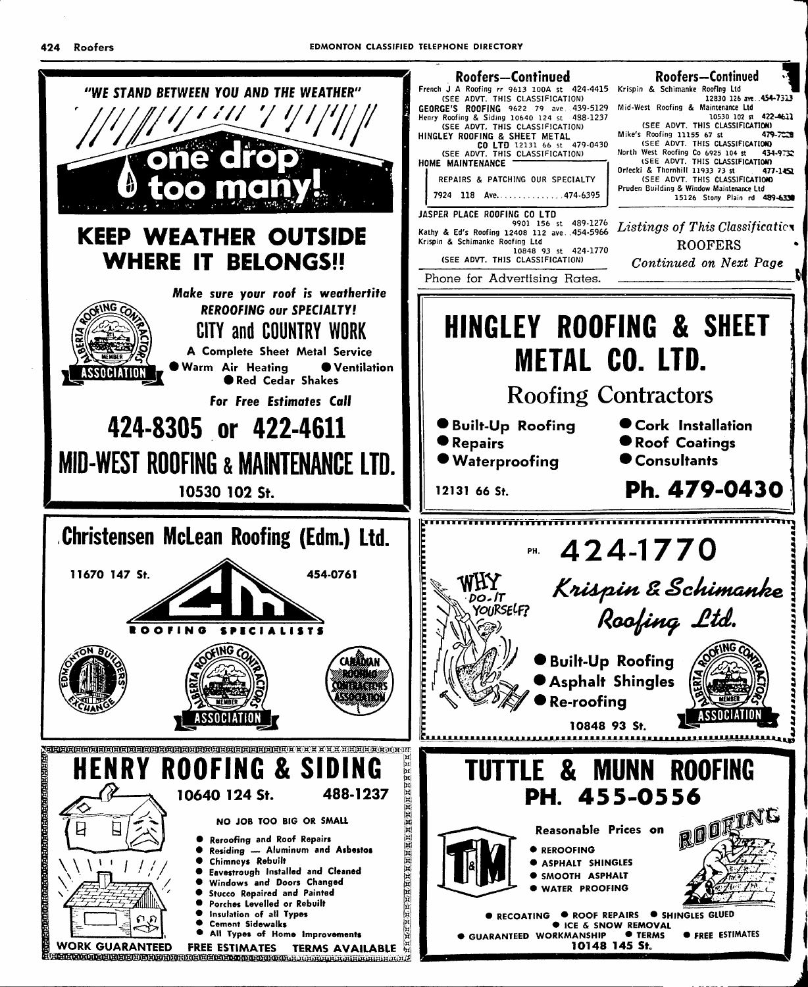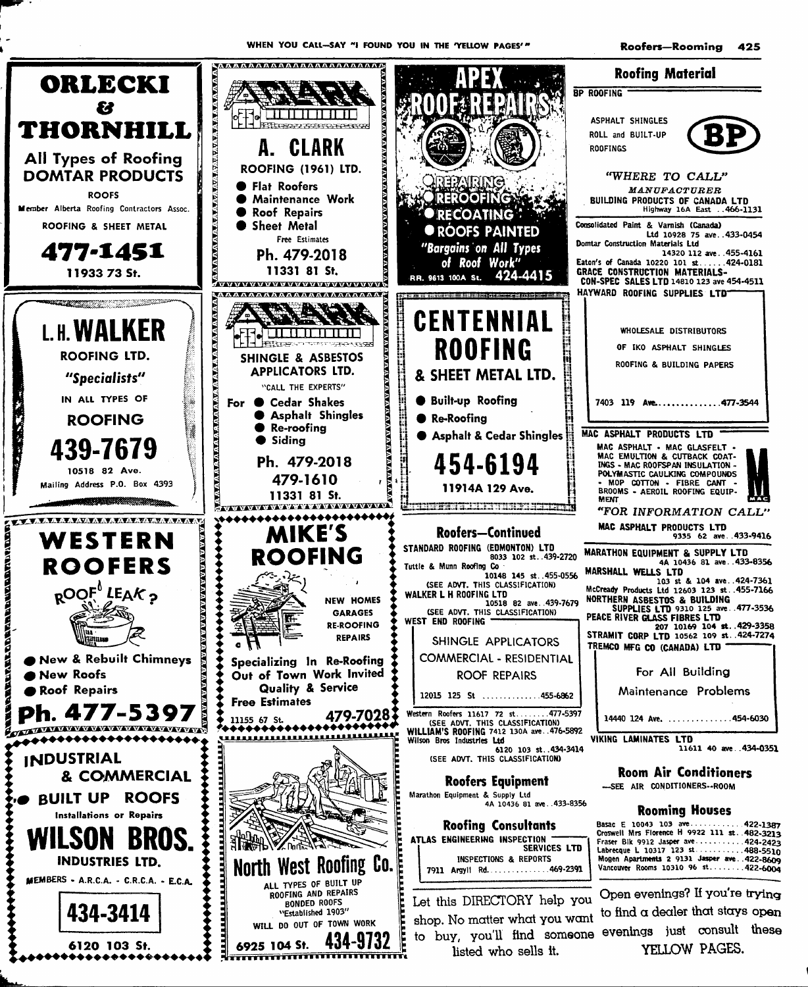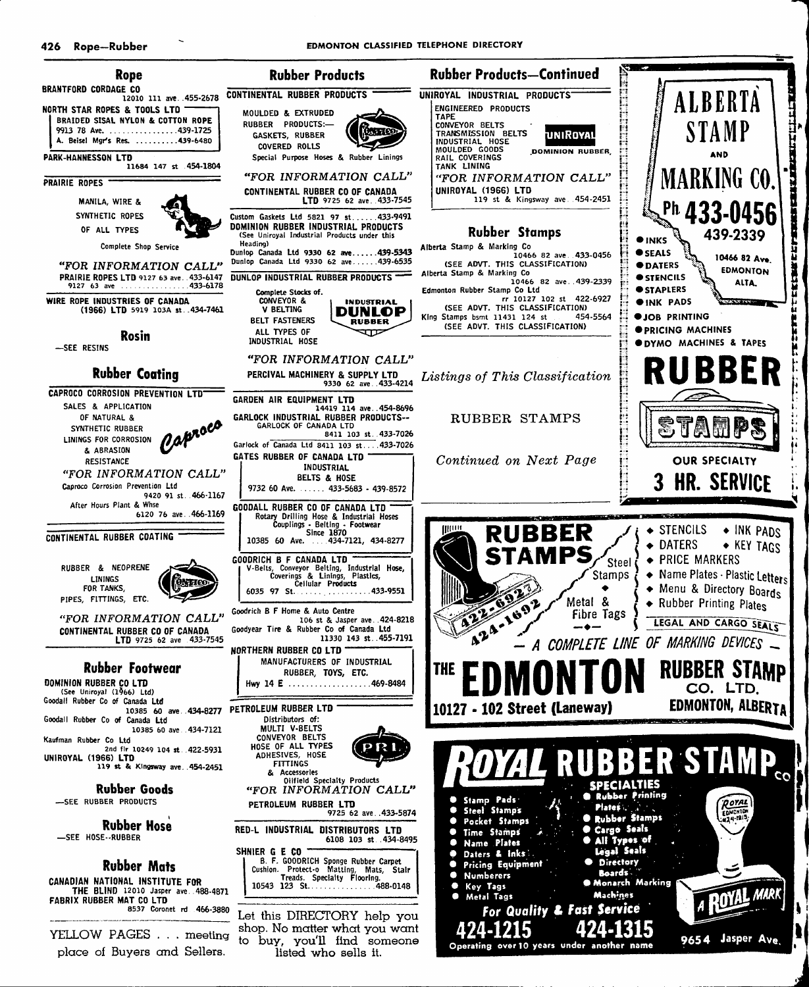

place of Buyers and Sellers.